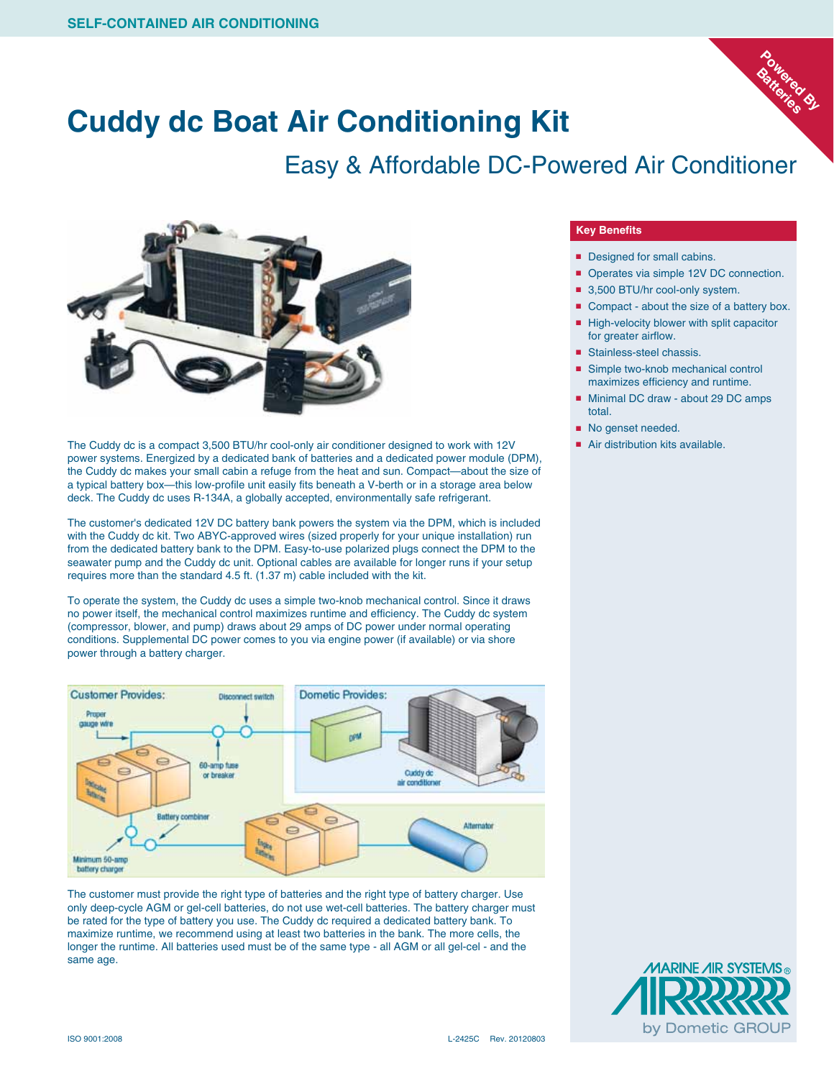

### **Cuddy dc Boat Air Conditioning Kit**

#### Easy & Affordable DC-Powered Air Conditioner



The Cuddy dc is a compact 3,500 BTU/hr cool-only air conditioner designed to work with 12V power systems. Energized by a dedicated bank of batteries and a dedicated power module (DPM), the Cuddy dc makes your small cabin a refuge from the heat and sun. Compact—about the size of a typical battery box—this low-profile unit easily fits beneath a V-berth or in a storage area below deck. The Cuddy dc uses R-134A, a globally accepted, environmentally safe refrigerant.

The customer's dedicated 12V DC battery bank powers the system via the DPM, which is included with the Cuddy dc kit. Two ABYC-approved wires (sized properly for your unique installation) run from the dedicated battery bank to the DPM. Easy-to-use polarized plugs connect the DPM to the seawater pump and the Cuddy dc unit. Optional cables are available for longer runs if your setup requires more than the standard 4.5 ft. (1.37 m) cable included with the kit.

To operate the system, the Cuddy dc uses a simple two-knob mechanical control. Since it draws no power itself, the mechanical control maximizes runtime and efficiency. The Cuddy dc system (compressor, blower, and pump) draws about 29 amps of DC power under normal operating conditions. Supplemental DC power comes to you via engine power (if available) or via shore power through a battery charger.



The customer must provide the right type of batteries and the right type of battery charger. Use only deep-cycle AGM or gel-cell batteries, do not use wet-cell batteries. The battery charger must be rated for the type of battery you use. The Cuddy dc required a dedicated battery bank. To maximize runtime, we recommend using at least two batteries in the bank. The more cells, the longer the runtime. All batteries used must be of the same type - all AGM or all gel-cel - and the same age.

#### **Key Benefits**

- Designed for small cabins.
- Operates via simple 12V DC connection.
- 3,500 BTU/hr cool-only system.
- Compact about the size of a battery box. ■ High-velocity blower with split capacitor for greater airflow.
- Stainless-steel chassis.
- Simple two-knob mechanical control maximizes efficiency and runtime.
- Minimal DC draw about 29 DC amps total.
	- No genset needed.
	- Air distribution kits available.